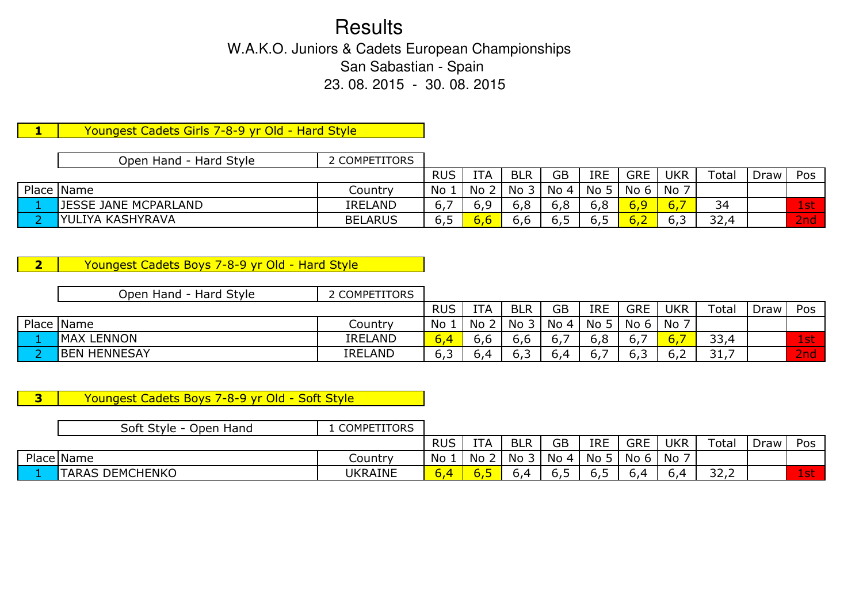**Results**  W.A.K.O. Juniors & Cadets European Championships San Sabastian - Spain 23. 08. 2015 - 30. 08. 2015

1 Youngest Cadets Girls 7-8-9 yr Old - Hard Style

| Open Hand - Hard Style      | 2 COMPETITORS  |            |            |            |                    |            |      |            |             |      |                |
|-----------------------------|----------------|------------|------------|------------|--------------------|------------|------|------------|-------------|------|----------------|
|                             |                | <b>RUS</b> | <b>ITA</b> | <b>BLR</b> | GB                 | <b>IRE</b> | GRE  | <b>UKR</b> | $\tau$ otal | Draw | Pos            |
| Place Name                  | Country        | No         | No         | No.        | $\mid$ No 4 $\mid$ | No 5       | No 6 | No         |             |      |                |
| <b>JESSE JANE MCPARLAND</b> | <b>IRELAND</b> | ο,         |            | 6,8        | 6,8                | 6,8        | 6,9  | 6,         | 34          |      | $1\mathsf{st}$ |
| <b>IYULIYA KASHYRAVA</b>    | <b>BELARUS</b> | o, J       |            | 6,6        | 6,5                | -6,5       | 6,2  | 6,3        | 32,4        |      | 2nd'           |

**2** Youngest Cadets Boys 7-8-9 yr Old - Hard Style

| Open Hand - Hard Style | 2 COMPETITORS  |            |            |            |      |             |                |            |             |      |     |
|------------------------|----------------|------------|------------|------------|------|-------------|----------------|------------|-------------|------|-----|
|                        |                | <b>RUS</b> | <b>ITA</b> | <b>BLR</b> | GB   | <b>IRE</b>  | <b>GRE</b>     | <b>UKR</b> | Total       | Draw | Pos |
| Place Name             | Country        | No         | No         | No         | No 4 | No 5        | No 6           | No 7       |             |      |     |
| <b>MAX LENNON</b>      | <b>IRELAND</b> | 6,4        | o.o        | 6,6        | O.,  | 6,8         | O <sub>r</sub> | ٠о.        | 33,4        |      | 1st |
| <b>BEN HENNESAY</b>    | <b>IRELAND</b> | 6,3        | —∽,ر       | 6,3        | 0,4  | $\sigma$ ., | כ, ס           | b.Z        | 31<br>J + 1 |      | 2nd |

**3** Youngest Cadets Boys 7-8-9 yr Old - Soft Style

| Soft Style - Open Hand | <b>COMPETITORS</b> |            |      |            |           |            |            |     |                          |      |        |
|------------------------|--------------------|------------|------|------------|-----------|------------|------------|-----|--------------------------|------|--------|
|                        |                    | <b>RUS</b> | ITA  | <b>BLR</b> | <b>GB</b> | <b>IRE</b> | <b>GRE</b> | UKR | Total                    | Draw | Pos    |
| Place Name             | Country            | No         | No   | No         | No 4      | No         | No 6       | No  |                          |      |        |
| <b>TARAS DEMCHENKO</b> | UKRAINE            | b,4        | o, J | b.4        | 6,5       | -<br>כ.ס   | n 4        |     | $\sim$ $\sim$<br>ے ، ے ب |      | $1$ st |
|                        |                    |            |      |            |           |            |            |     |                          |      |        |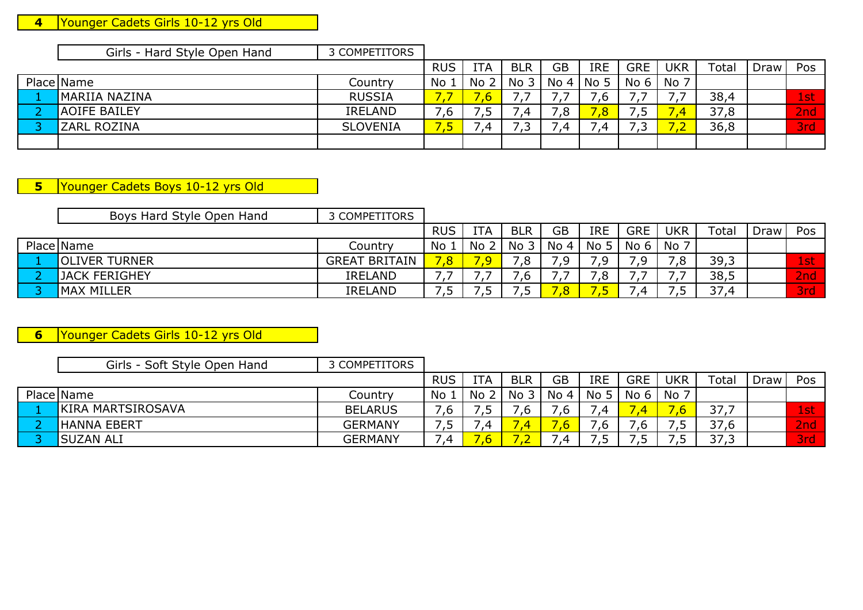### **4**Younger Cadets Girls 10-12 yrs Old

| Girls - Hard Style Open Hand | 3 COMPETITORS   |            |     |            |           |                 |                |            |       |             |            |
|------------------------------|-----------------|------------|-----|------------|-----------|-----------------|----------------|------------|-------|-------------|------------|
|                              |                 | <b>RUS</b> | ITA | <b>BLR</b> | <b>GB</b> | <b>IRE</b>      | <b>GRE</b>     | <b>UKR</b> | Total | <b>Draw</b> | Pos        |
| Place Name                   | Country         | No.        | No  | 3<br>No    | No 4      | No <sub>5</sub> | No 6           | No 7       |       |             |            |
| MARIIA NAZINA                | <b>RUSSIA</b>   |            |     |            | . .       | ,ხ              |                |            | 38,4  |             | 1st        |
| <b>AOIFE BAILEY</b>          | <b>IRELAND</b>  | ′.ხ        |     | 4          | 8,'       | $\overline{8}$  | $\overline{ }$ |            | 37,8  |             | 2nd        |
| <b>ZARL ROZINA</b>           | <b>SLOVENIA</b> |            |     | ر .        | - 4       | 4               | $\overline{ }$ |            | 36,8  |             | <b>3rd</b> |
|                              |                 |            |     |            |           |                 |                |            |       |             |            |

**5** Younger Cadets Boys 10-12 yrs Old

| Boys Hard Style Open Hand | 3 COMPETITORS        |            |            |            |           |                 |                 |            |       |      |                 |
|---------------------------|----------------------|------------|------------|------------|-----------|-----------------|-----------------|------------|-------|------|-----------------|
|                           |                      | <b>RUS</b> | <b>ITA</b> | <b>BLR</b> | <b>GB</b> | <b>IRE</b>      | <b>GRE</b>      | <b>UKR</b> | ⊺otal | Draw | Pos             |
| Place Name                | Country              | No         | No         | No 3       | No 4      | No <sub>5</sub> | No <sub>6</sub> | No         |       |      |                 |
| <b>OLIVER TURNER</b>      | <b>GREAT BRITAIN</b> | ,8         |            |            | 7,9       | ് വ             |                 |            | 39,3  |      | 1st             |
| <b>JACK FERIGHEY</b>      | <b>IRELAND</b>       |            |            |            |           | ิ,8             |                 |            | 38,5  |      | 2 <sub>nd</sub> |
| <b>MAX MILLER</b>         | <b>IRELAND</b>       |            |            |            |           |                 |                 |            | 37,4  |      | 3rd             |

**6**Younger Cadets Girls 10-12 yrs Old

| Girls - Soft Style Open Hand | 3 COMPETITORS  |            |     |            |           |            |                          |     |       |      |            |
|------------------------------|----------------|------------|-----|------------|-----------|------------|--------------------------|-----|-------|------|------------|
|                              |                | <b>RUS</b> | ITA | <b>BLR</b> | <b>GB</b> | <b>IRE</b> | <b>GRE</b>               | UKR | Total | Draw | Pos        |
| Place Name                   | Country        | No         | No  | No         | No 4      | No 5       | No <sub>6</sub>          | No  |       |      |            |
| KIRA MARTSIROSAVA            | <b>BELARUS</b> | .6         |     | . v        | ں ,       | .4         |                          |     | 37    |      | 1st        |
| <b>HANNA EBERT</b>           | <b>GERMANY</b> | ر .        |     |            |           | .ხ         | ں .                      | ر , | 37,6  |      | 2nd        |
| <b>SUZAN ALI</b>             | <b>GERMANY</b> | .4         |     |            | .4        | ر ,        | $\overline{\phantom{a}}$ |     | 37,3  |      | <b>Brd</b> |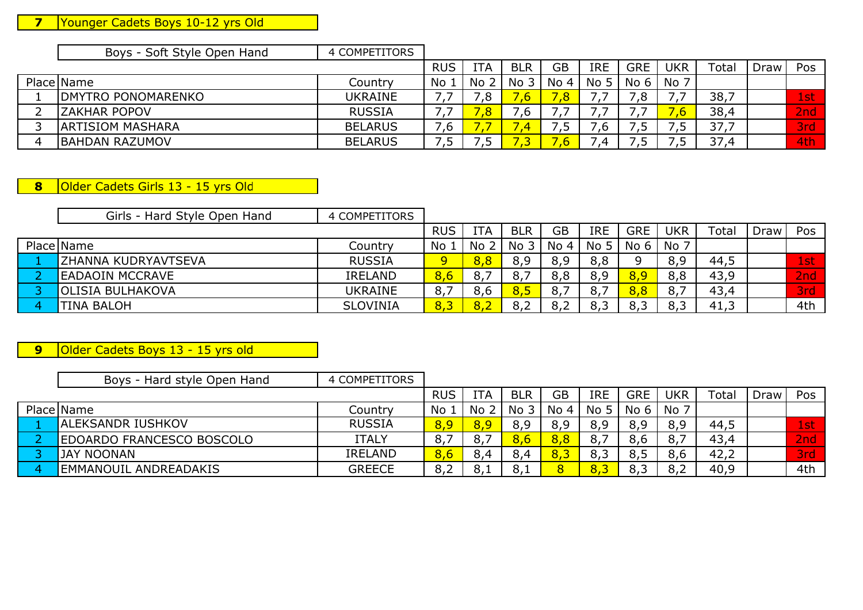### **7**Younger Cadets Boys 10-12 yrs Old

 $\mathbf{I}$ 

| Boys - Soft Style Open Hand | 4 COMPETITORS |
|-----------------------------|---------------|

|   |                           |                | <b>RUS</b> | <b>TTA</b> | <b>BLR</b> | <b>GB</b> | <b>IRE</b> | GRE     | <b>UKR</b> | Total | Draw | Pos              |
|---|---------------------------|----------------|------------|------------|------------|-----------|------------|---------|------------|-------|------|------------------|
|   | Place Name                | Country        | No         | No ∠       | No         | No 4      | No 5       | No<br>6 | No 7       |       |      |                  |
|   | <b>DMYTRO PONOMARENKO</b> | UKRAINE        |            | 0<br>. ب   |            | ,8        |            | ึ,8     |            | 38,7  |      | 1st              |
|   | <b>ZAKHAR POPOV</b>       | <b>RUSSIA</b>  |            | $\Omega$   | ں,         |           |            |         |            | 38,4  |      | 2nd              |
|   | <b>ARTISIOM MASHARA</b>   | <b>BELARUS</b> | ס,         |            | 49         | ر ,       | .ხ         | ر .     | . .        | 37    |      | 3rd <sup>i</sup> |
| 4 | <b>BAHDAN RAZUMOV</b>     | <b>BELARUS</b> | ر .        | .          |            | ,b        | -4         | ر .     |            | 37,4  |      | 4th              |

### **8**Older Cadets Girls 13 - 15 yrs Old

| Girls - Hard Style Open Hand | 4 COMPETITORS   |            |      |            |           |                 |            |            |       |      |     |
|------------------------------|-----------------|------------|------|------------|-----------|-----------------|------------|------------|-------|------|-----|
|                              |                 | <b>RUS</b> | ITA  | <b>BLR</b> | <b>GB</b> | <b>IRE</b>      | <b>GRE</b> | <b>UKR</b> | Total | Draw | Pos |
| Place Name                   | Country         | No         | No 2 | No 3       | No 4      | No <sub>5</sub> | No 6 l     | No 7       |       |      |     |
| IZHANNA KUDRYAVTSEVA         | <b>RUSSIA</b>   |            | 8,8  | 8,9        | 8,9       | 8,8             |            | 8,9        | 44,5  |      | 1st |
| <b>EADAOIN MCCRAVE</b>       | <b>IRELAND</b>  | 8,6        |      | 8,7        | 8,8       | 8,9             |            | 8,8        | 43,9  |      | 2nd |
| <b>OLISIA BULHAKOVA</b>      | <b>UKRAINE</b>  |            | 8,6  | 8,5        | 8,7       | 8,7             |            | 8.         | 43,4  |      | 3rd |
| <b>TINA BALOH</b>            | <b>SLOVINIA</b> | 8,3        | 8,2  | 8,2        | 8,2       | 8,3             |            | 8,3        | 41,3  |      | 4th |

### **9**Older Cadets Boys 13 - 15 yrs old

| Boys - Hard style Open Hand | 4 COMPETITORS  |            |     |                 |      |            |            |            |       |      |     |
|-----------------------------|----------------|------------|-----|-----------------|------|------------|------------|------------|-------|------|-----|
|                             |                | <b>RUS</b> | ITA | <b>BLR</b>      | GB   | <b>IRE</b> | <b>GRE</b> | <b>UKR</b> | Total | Draw | Pos |
| Place Name                  | Country        | No         | No  | No <sub>3</sub> | No 4 | No 5       | No 6       | No 7       |       |      |     |
| ALEKSANDR IUSHKOV           | <b>RUSSIA</b>  | 8,9        | 8,9 | 8,9             | 8,9  | 8,9        | 8,9        |            | 44,5  |      | 1st |
| EDOARDO FRANCESCO BOSCOLO   | <b>ITALY</b>   | 8,7        | 8,7 | 8,6             | 8,8  |            | 8,6        | 8.         | 43,4  |      | 2nd |
| <b>JAY NOONAN</b>           | <b>IRELAND</b> | 8,6        |     | 8,4             | 8,3  | 8,3        |            |            | 42,2  |      | 3rd |
| EMMANOUIL ANDREADAKIS       | <b>GREECE</b>  | 8,2        |     | 8,1             | 8    |            |            |            | 40,9  |      | 4th |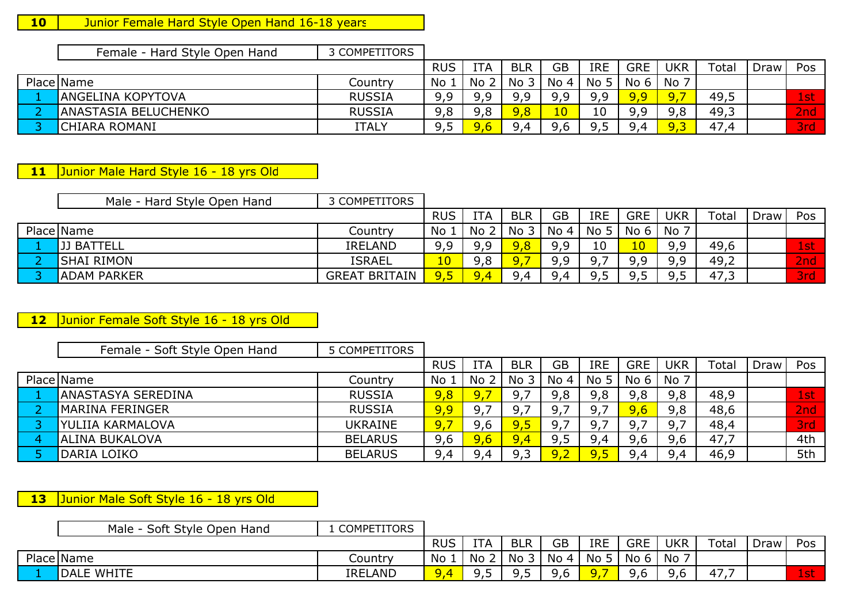## 10 | Junior Female Hard Style Open Hand 16-18 years

Female - Hard Style Open Hand 3 COMPETITORS

|                             |               | <b>RUS</b> | <b>ITA</b> | <b>BLR</b> | GB              | <b>IRE</b> | <b>GRE</b> | <b>UKR</b> | Total | Draw | Pos |
|-----------------------------|---------------|------------|------------|------------|-----------------|------------|------------|------------|-------|------|-----|
| Place Name                  | Country       | No         | No         | No         | No<br>$\Delta$  | No 5       | No 6       | No         |       |      |     |
| <b>ANGELINA KOPYTOVA</b>    | <b>RUSSIA</b> | 9,9        | o c        | 9,9        | a a             | a a        | 9,9        | $\Omega$   | 49,J  |      | 1st |
| <b>ANASTASIA BELUCHENKO</b> | <b>RUSSIA</b> | 9,8        | 9,8        | 9,8        | 10 <sub>1</sub> | 10         | o c<br>フェコ | O<br>J, J  | 49,3  |      | 2nd |
| CHIARA ROMANI               | <b>ITALY</b>  | 9,5        |            | QΔ         | 9,6             |            | 94         |            | 47.4  |      | 3rd |

**11**Junior Male Hard Style 16 - 18 yrs Old

| Male - Hard Style Open Hand | 3 COMPETITORS        |            |     |              |           |                 |            |            |       |      |                 |
|-----------------------------|----------------------|------------|-----|--------------|-----------|-----------------|------------|------------|-------|------|-----------------|
|                             |                      | <b>RUS</b> | 'TA | <b>BLR</b>   | <b>GB</b> | <b>IRE</b>      | <b>GRE</b> | <b>UKR</b> | Total | Draw | Pos             |
| Place Name                  | Country              | No         | No  | No .         | No 4      | No <sub>5</sub> | No 6       | No         |       |      |                 |
| <b>JJ BATTELL</b>           | <b>IRELAND</b>       | 9,9        | a a | 9,8          | 9,9       | 10              | <u>10</u>  | a a        | 49,6  |      | 1st             |
| <b>SHAI RIMON</b>           | <b>ISRAEL</b>        | 10         | 9,8 | $\mathbf{Q}$ | 9,9       | O 7             | a a        | O Q        | 49,2  |      | 2 <sub>nd</sub> |
| <b>ADAM PARKER</b>          | <b>GREAT BRITAIN</b> | 9,5        |     | 9,4          | 9,4       | 9,5             |            |            | د,47  |      | 3rd             |

**12**Junior Female Soft Style 16 - 18 yrs Old

| Female - Soft Style Open Hand | 5 COMPETITORS  |              |            |                 |         |                 |      |            |       |      |      |
|-------------------------------|----------------|--------------|------------|-----------------|---------|-----------------|------|------------|-------|------|------|
|                               |                | <b>RUS</b>   | <b>ITA</b> | <b>BLR</b>      | GB      | <b>IRE</b>      | GRE  | <b>UKR</b> | Total | Draw | Pos  |
| Place Name                    | Country        | No.          | No         | No <sub>3</sub> | No 4    | No <sub>5</sub> | No 6 | No 7       |       |      |      |
| <b>ANASTASYA SEREDINA</b>     | <b>RUSSIA</b>  | 9,8          |            | 9,7             | 9,8     | 9,8             | 9,8  | 9,8        | 48,9  |      | 1st  |
| <b>IMARINA FERINGER</b>       | <b>RUSSIA</b>  | 9,9          | 9,7        | 9,7             | 9,7     | 9,7             |      | 9,8        | 48,6  |      | 2nd  |
| YULIIA KARMALOVA              | <b>UKRAINE</b> | $\sqrt{9.7}$ | 9,6        | 9,5             | 9,7     | 9,7             |      | 9.,        | 48,4  |      | 3rd' |
| <b>IALINA BUKALOVA</b>        | <b>BELARUS</b> | 9,6          | 9,6        | 9,4             | 9,5     | 9,4             | 9,6  | 9,6        | 47,7  |      | 4th  |
| DARIA LOIKO                   | <b>BELARUS</b> | 9,4          | 9 4        | 9,3             | $Q$ $Q$ | 9,5             | 9,4  | 9 4        | 46,9  |      | 5th  |
|                               |                |              |            |                 |         |                 |      |            |       |      |      |

**13**Junior Male Soft Style 16 - 18 yrs Old

| <b>RUS</b><br>GB<br><b>BLR</b><br><b>GRE</b><br><b>UKR</b><br><b>ITA</b><br><b>IRE</b><br>Total<br>Draw | Pos       |      |      |     |      |    |         | Soft Style Open<br>Male<br>Hand |  |
|---------------------------------------------------------------------------------------------------------|-----------|------|------|-----|------|----|---------|---------------------------------|--|
|                                                                                                         |           |      |      |     |      |    |         |                                 |  |
| ັ                                                                                                       | No.<br>No | No 5 | No 4 | No. | No 2 | No | Country | Place Name                      |  |
| <b>DALE WHITE</b><br>9,6<br><b>IRELAND</b><br>$4/\mu$<br>9.4<br>9,6<br>9,6<br>u<br>ر ,<br>.             | 1st       |      |      |     |      |    |         |                                 |  |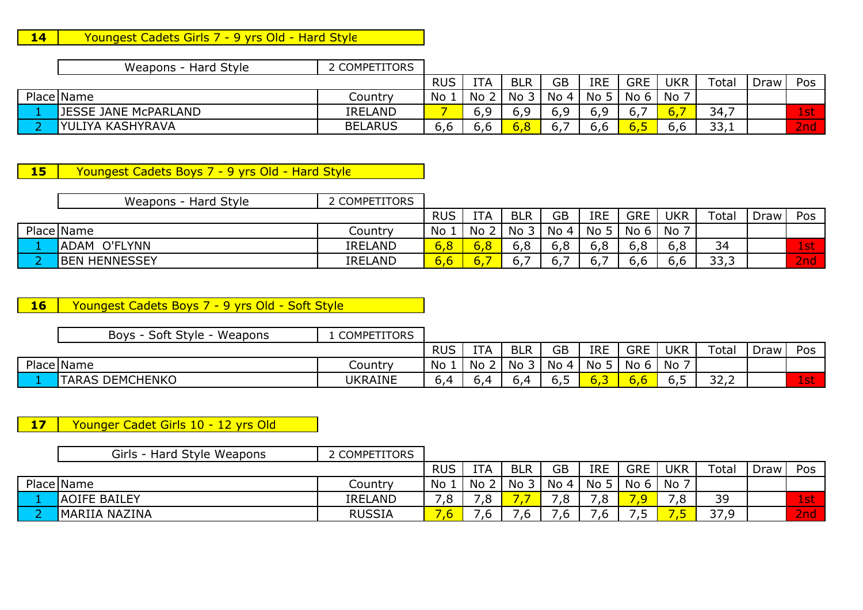### 14 Youngest Cadets Girls 7 - 9 yrs Old - Hard Style

|            | Style<br>Weapons - Hard : | 2 COMPETITORS  |            |            |            |           |                 |            |             |       |      |     |
|------------|---------------------------|----------------|------------|------------|------------|-----------|-----------------|------------|-------------|-------|------|-----|
|            |                           |                | <b>RUS</b> | <b>ITA</b> | <b>BLR</b> | <b>GB</b> | <b>IRE</b>      | <b>GRE</b> | <b>UKR</b>  | Total | Draw | Pos |
| Place Name |                           | Country        | No         | No         | No         | No 4      | No <sub>5</sub> | No 6       | No          |       |      |     |
|            | JESSE JANE McPARLAND      | <b>IRELAND</b> |            | 6,9        | 6,9        | FΟ<br>∪,⊃ |                 |            | <u> Ю.,</u> | 34,7  |      | 1st |
|            | IYULIYA KASHYRAVA         | <b>BELARUS</b> | b,b        | .6,t       | 6,8        | ь.        | 0.0             | 0,5        | 6,6         | 33,1  |      | 2nd |

## 15 Youngest Cadets Boys 7 - 9 yrs Old - Hard Style

| Weapons - Hard Style | 2 COMPETITORS  |            |     |            |      |                 |            |            |                    |      |            |
|----------------------|----------------|------------|-----|------------|------|-----------------|------------|------------|--------------------|------|------------|
|                      |                | <b>RUS</b> | ITA | <b>BLR</b> | GB   | <b>IRE</b>      | <b>GRE</b> | <b>UKR</b> | Total              | Draw | Pos        |
| Place Name           | Country        | No         | No  | د No       | No 4 | No <sub>5</sub> | No 6       | No 7       |                    |      |            |
| ADAM O'FLYNN         | <b>IRELAND</b> | 6,8        |     | 6,8        | 6,8  | 6,8             | 6,8        | 6,8        | 34                 |      | <b>Ast</b> |
| <b>BEN HENNESSEY</b> | <b>IRELAND</b> | 6,6        |     | b.,        | 6.7  | $\sigma$ .      | 6,6        | o, o       | <b>333</b><br>JJ,J |      | 2nd        |
|                      |                |            |     |            |      |                 |            |            |                    |      |            |

### 16 Youngest Cadets Boys 7 - 9 yrs Old - Soft Style

|            | Soft Style<br>Weapons<br>Boys - | <b>COMPETITORS</b> |            |            |            |                 |                 |            |            |                |      |             |
|------------|---------------------------------|--------------------|------------|------------|------------|-----------------|-----------------|------------|------------|----------------|------|-------------|
|            |                                 |                    | <b>RUS</b> | <b>ITA</b> | <b>BLR</b> | GB              | <b>IRE</b>      | <b>GRE</b> | <b>UKR</b> | Total          | Draw | Pos         |
| Place Name |                                 | Country            | No         | No         | No         | No <sub>4</sub> | No <sub>5</sub> | No 6       | No         |                |      |             |
|            | <b>TARAS DEMCHENKO</b>          | UKRAINE            | 54         |            | 5.0        | כ,ס             | .c/             | U.U        |            | $\sim$<br>ے،ےں |      | $-+$<br>ISL |

17 Younger Cadet Girls 10 - 12 yrs Old

| Girls - Hard Style Weapons | COMPETITORS    |            |            |            |           |            |                          |            |             |      |         |
|----------------------------|----------------|------------|------------|------------|-----------|------------|--------------------------|------------|-------------|------|---------|
|                            |                | <b>RUS</b> | <b>ITA</b> | <b>BLR</b> | <b>GB</b> | <b>IRE</b> | <b>GRE</b>               | <b>UKR</b> | Total       | Draw | Pos     |
| Place Name                 | Country        | No         | No         | No         | No 4      | No 5       | No <sub>6</sub>          | No         |             |      |         |
| <b>AOIFE BAILEY</b>        | <b>IRELAND</b> | 8,         | ہ,         |            | , ب       | 7,8        |                          | ,∪         | 39          |      | $1$ stı |
| <b>IMARIIA NAZINA</b>      | <b>RUSSIA</b>  |            |            |            | ه.        | .6         | $\overline{\phantom{a}}$ |            | 37 Q<br>. پ |      | 2nd'    |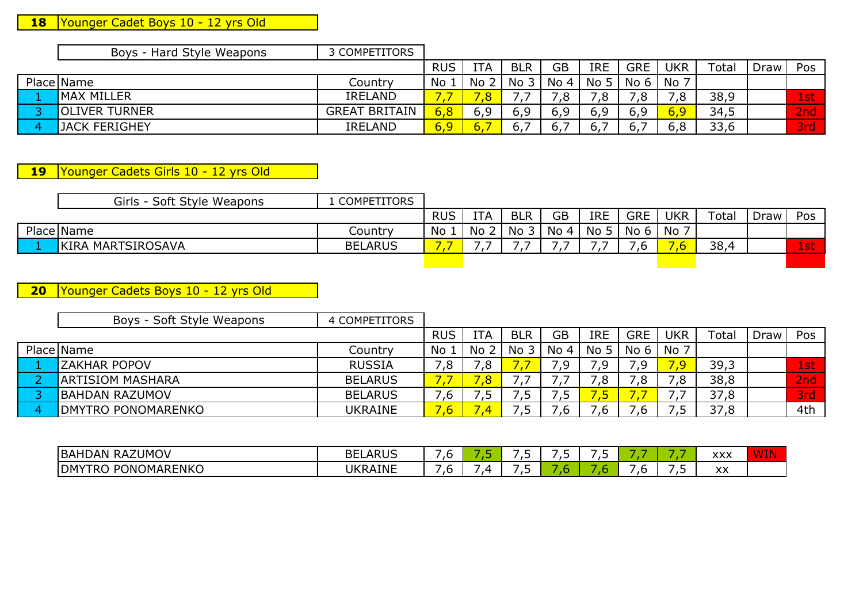# **18** Younger Cadet Boys 10 - 12 yrs Old

| Boys - Hard Style Weapons | 3 COMPETITORS        |            |            |                 |           |            |            |            |       |      |      |
|---------------------------|----------------------|------------|------------|-----------------|-----------|------------|------------|------------|-------|------|------|
|                           |                      | <b>RUS</b> | <b>ITA</b> | <b>BLR</b>      | <b>GB</b> | <b>IRE</b> | <b>GRE</b> | <b>UKR</b> | Total | Draw | Pos  |
| Place Name                | Country              | No         | <b>No</b>  | No <sub>3</sub> | No 4      | No 5       | No 6       | No         |       |      |      |
| <b>MAX MILLER</b>         | <b>IRELAND</b>       |            |            |                 | ه,        | ,8         | ں .        |            | 38,9  |      | 1st  |
| <b>OLIVER TURNER</b>      | <b>GREAT BRITAIN</b> | 6,8        |            | 6,9             | 6,9       | 6,9        | 6,9        | 6,9        | 34,5  |      | 2nd' |
| <b>IJACK FERIGHEY</b>     | <b>IRELAND</b>       | 6,9        | ь.         | 6.              | 6,        |            |            | 6,8        | 33,6  |      | 3rd' |
|                           |                      |            |            |                 |           |            |            |            |       |      |      |

**19**Younger Cadets Girls 10 - 12 yrs Old

| Girls - Soft Style Weapons | <b>COMPETITORS</b> |            |            |            |           |                 |                        |            |       |      |        |
|----------------------------|--------------------|------------|------------|------------|-----------|-----------------|------------------------|------------|-------|------|--------|
|                            |                    | <b>RUS</b> | <b>ITA</b> | <b>BLR</b> | <b>GB</b> | <b>IRE</b>      | <b>GRE</b>             | <b>UKR</b> | Total | Draw | Pos    |
| Place Name                 | Countrv            | No         | No         | No         | No 4      | No <sub>5</sub> | $N$ o 6 $\overline{1}$ | No 7       |       |      |        |
| KIRA MARTSIROSAVA          | <b>BELARUS</b>     |            |            |            |           |                 |                        |            | 38,4  |      | $1$ st |
|                            |                    |            |            |            |           |                 |                        |            |       |      |        |

**20**Younger Cadets Boys 10 - 12 yrs Old

| Boys - Soft Style Weapons  | 4 COMPETITORS  |            |            |            |           |                 |            |            |       |      |            |
|----------------------------|----------------|------------|------------|------------|-----------|-----------------|------------|------------|-------|------|------------|
|                            |                | <b>RUS</b> | <b>ITA</b> | <b>BLR</b> | <b>GB</b> | <b>IRE</b>      | <b>GRE</b> | <b>UKR</b> | Total | Draw | Pos        |
| Place Name                 | Country        | No.        | No         | No 3       | No 4      | No <sub>5</sub> | No 6       | No         |       |      |            |
| <b>ZAKHAR POPOV</b>        | <b>RUSSIA</b>  | 8.'        | 78,        |            | 7,9       | .9              | 7,9        |            | 39,3  |      | $1$ stı    |
| IARTISIOM MASHARA          | <b>BELARUS</b> |            |            |            |           | ,8              | .8         | 0،         | 38,8  |      | 2nd        |
| IBAHDAN RAZUMOV            | <b>BELARUS</b> | .b         |            |            | 5.        | 45              |            |            | 37,8  |      | <b>3rd</b> |
| <b>IDMYTRO PONOMARENKO</b> | <b>UKRAINE</b> | .ხ         |            |            | .b        | .b              | .b         |            | 37,8  |      | 4th        |
|                            |                |            |            |            |           |                 |            |            |       |      |            |

| RAZUMOV<br>BAHDAN                                     | $\sim$ $\sim$<br>BЕ<br>11 L<br>. ARUJ | . J |            | $\sim$<br>. . | $\overline{\phantom{a}}$<br>. . | . . |     | -        | $\sqrt{21}$<br>^^^        |  |
|-------------------------------------------------------|---------------------------------------|-----|------------|---------------|---------------------------------|-----|-----|----------|---------------------------|--|
| <b>ONOMARENKO</b><br><b>DM</b><br>DC<br>ו כד<br>' KU. | <b><i>KRAINE</i></b><br><b>UKF</b>    | . . | $\epsilon$ | -<br>. .      |                                 |     | . . | -<br>. . | $\mathbf{v}$<br>$\Lambda$ |  |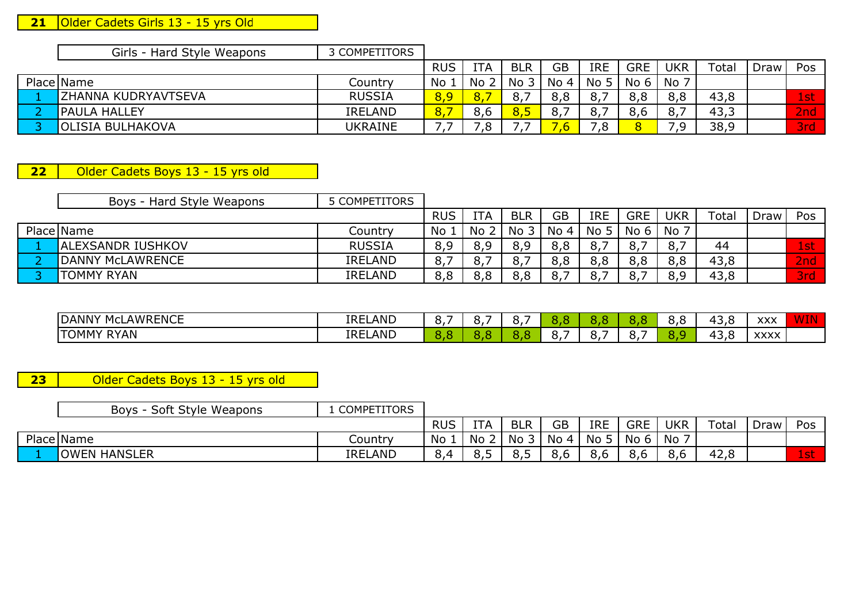#### **21**Older Cadets Girls 13 - 15 yrs Old

| Girls<br>Hard Style Weapons | <b>COMPETITORS</b> |            |            |            |      |            |                   |               |                            |      |
|-----------------------------|--------------------|------------|------------|------------|------|------------|-------------------|---------------|----------------------------|------|
|                             |                    | <b>RUS</b> | <b>ITA</b> | <b>BLR</b> | GB   | <b>IRE</b> | <b>GRE</b>        | UKR           | Total                      | Draw |
| Place Name                  | Country            | No         | <b>No</b>  | <b>No</b>  | No 4 | No         | No 6              | No            |                            |      |
| <b>ZHANNA KUDRYAVTSEVA</b>  | <b>RUSSIA</b>      | <u>. J</u> |            |            | o.o  | O.,        | $\circ$ , $\circ$ | $\sim$<br>o,o | 43<br><u>ິດ</u><br>1 J , U |      |

| -<br>EV<br><b>PAULA</b><br>↑ HALL∟                                                                          |                                                   |
|-------------------------------------------------------------------------------------------------------------|---------------------------------------------------|
| <b>IRELAND</b><br>$\mathbf{o}$ .<br>o.<br>o,<br><u>u.u</u><br>◡,◡                                           | <b>START OF BUILDING</b><br>. .<br>O,O<br>U,      |
| <b>UKRAINE</b><br><b>LHAKOVA</b><br><b>OLISIA</b><br><b>TSTA</b><br><b>BUL</b><br>ہ.<br>ت<br>$\cdot$<br>- - | -<br>38,9<br><b>CONTRACTOR</b><br>.<br>- -<br>. . |

Draw Pos

**22** Older Cadets Boys 13 - 15 yrs old

| Boys - Hard Style Weapons | 5 COMPETITORS  |            |     |            |           |                 |            |            |             |      |     |
|---------------------------|----------------|------------|-----|------------|-----------|-----------------|------------|------------|-------------|------|-----|
|                           |                | <b>RUS</b> | ITA | <b>BLR</b> | <b>GB</b> | <b>IRE</b>      | <b>GRE</b> | <b>UKR</b> | $\tau$ otal | Draw | Pos |
| Place Name                | Country        | No         | No  | د No       | No 4      | No <sub>5</sub> | No 6       | No 7       |             |      |     |
| <b>ALEXSANDR IUSHKOV</b>  | <b>RUSSIA</b>  | 8,9        |     | 8,9        | 8,8       |                 |            | 8,,        | 44          |      | 1st |
| <b>IDANNY McLAWRENCE</b>  | <b>IRELAND</b> | 8.         | 8,  | 8,         | 8,8       | 8,8             | 8,8        | 8,8        | 43,8        |      | 2nd |
| <b>TOMMY RYAN</b>         | <b>IRELAND</b> | 8,8        | R R | 8,8        | 8,7       |                 |            | ם פ<br>ο.  | 43,8        |      | 3rd |

| <b>AWRENCE</b><br><b>JANN</b><br>MCL      | LAND<br><b>TDEI</b><br>⊥N∟ | $\overline{\phantom{a}}$<br>∽<br>J, |  |   |   | 0,0 | $\sim$<br>$\overline{\phantom{a}}$<br>. J | vvv<br>ᄉᄉ           | . |
|-------------------------------------------|----------------------------|-------------------------------------|--|---|---|-----|-------------------------------------------|---------------------|---|
| <b>RYAN</b><br>$\blacksquare$ ГОММ $\vee$ | LAND<br><b>IREL</b>        |                                     |  | . | . |     | $\overline{\phantom{a}}$<br>,,,<br>.      | <b>VVVV</b><br>^^^^ |   |

**23** Older Cadets Boys 13 - 15 yrs old

Boys - Soft Style Weapons | 1 COMPETITORS RUSRUS ITA BLR<br>No 1 No 2 No 3 GB IRE GRE UKR Total DrawDraw Pos Place Name e Name **Name** No 1 No 2 No 3 No 4 No 5 No 6 No 7 1 OWEN HANSLER IRELANDD | 8,4 | 8,5 | 8,5 | 8,6 | 8,6 | 8,6 | 8,6 | 42,8 | <mark>1st</mark>